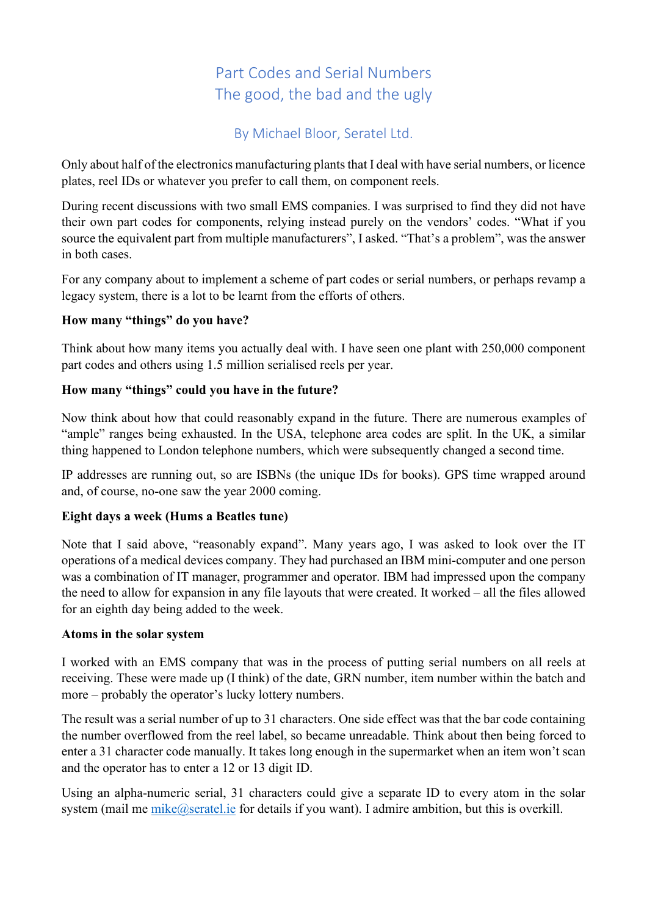# Part Codes and Serial Numbers The good, the bad and the ugly

By Michael Bloor, Seratel Ltd.

Only about half of the electronics manufacturing plantsthat I deal with have serial numbers, or licence plates, reel IDs or whatever you prefer to call them, on component reels.

During recent discussions with two small EMS companies. I was surprised to find they did not have their own part codes for components, relying instead purely on the vendors' codes. "What if you source the equivalent part from multiple manufacturers", I asked. "That's a problem", was the answer in both cases.

For any company about to implement a scheme of part codes or serial numbers, or perhaps revamp a legacy system, there is a lot to be learnt from the efforts of others.

# **How many "things" do you have?**

Think about how many items you actually deal with. I have seen one plant with 250,000 component part codes and others using 1.5 million serialised reels per year.

# **How many "things" could you have in the future?**

Now think about how that could reasonably expand in the future. There are numerous examples of "ample" ranges being exhausted. In the USA, telephone area codes are split. In the UK, a similar thing happened to London telephone numbers, which were subsequently changed a second time.

IP addresses are running out, so are ISBNs (the unique IDs for books). GPS time wrapped around and, of course, no-one saw the year 2000 coming.

# **Eight days a week (Hums a Beatles tune)**

Note that I said above, "reasonably expand". Many years ago, I was asked to look over the IT operations of a medical devices company. They had purchased an IBM mini-computer and one person was a combination of IT manager, programmer and operator. IBM had impressed upon the company the need to allow for expansion in any file layouts that were created. It worked – all the files allowed for an eighth day being added to the week.

## **Atoms in the solar system**

I worked with an EMS company that was in the process of putting serial numbers on all reels at receiving. These were made up (I think) of the date, GRN number, item number within the batch and more – probably the operator's lucky lottery numbers.

The result was a serial number of up to 31 characters. One side effect was that the bar code containing the number overflowed from the reel label, so became unreadable. Think about then being forced to enter a 31 character code manually. It takes long enough in the supermarket when an item won't scan and the operator has to enter a 12 or 13 digit ID.

Using an alpha-numeric serial, 31 characters could give a separate ID to every atom in the solar system (mail me mike@seratel.ie for details if you want). I admire ambition, but this is overkill.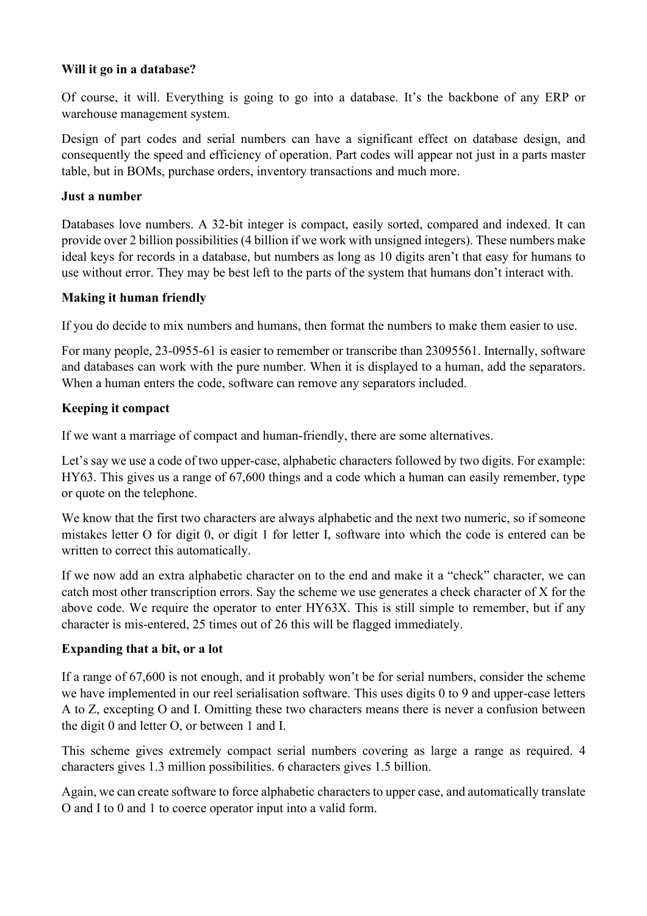### **Will it go in a database?**

Of course, it will. Everything is going to go into a database. It's the backbone of any ERP or warehouse management system.

Design of part codes and serial numbers can have a significant effect on database design, and consequently the speed and efficiency of operation. Part codes will appear not just in a parts master table, but in BOMs, purchase orders, inventory transactions and much more.

#### **Just a number**

Databases love numbers. A 32-bit integer is compact, easily sorted, compared and indexed. It can provide over 2 billion possibilities (4 billion if we work with unsigned integers). These numbers make ideal keys for records in a database, but numbers as long as 10 digits aren't that easy for humans to use without error. They may be best left to the parts of the system that humans don't interact with.

## **Making it human friendly**

If you do decide to mix numbers and humans, then format the numbers to make them easier to use.

For many people, 23-0955-61 is easier to remember or transcribe than 23095561. Internally, software and databases can work with the pure number. When it is displayed to a human, add the separators. When a human enters the code, software can remove any separators included.

#### **Keeping it compact**

If we want a marriage of compact and human-friendly, there are some alternatives.

Let's say we use a code of two upper-case, alphabetic characters followed by two digits. For example: HY63. This gives us a range of 67,600 things and a code which a human can easily remember, type or quote on the telephone.

We know that the first two characters are always alphabetic and the next two numeric, so if someone mistakes letter O for digit 0, or digit 1 for letter I, software into which the code is entered can be written to correct this automatically.

If we now add an extra alphabetic character on to the end and make it a "check" character, we can catch most other transcription errors. Say the scheme we use generates a check character of X for the above code. We require the operator to enter HY63X. This is still simple to remember, but if any character is mis-entered, 25 times out of 26 this will be flagged immediately.

## **Expanding that a bit, or a lot**

If a range of 67,600 is not enough, and it probably won't be for serial numbers, consider the scheme we have implemented in our reel serialisation software. This uses digits 0 to 9 and upper-case letters A to Z, excepting O and I. Omitting these two characters means there is never a confusion between the digit 0 and letter O, or between 1 and I.

This scheme gives extremely compact serial numbers covering as large a range as required. 4 characters gives 1.3 million possibilities. 6 characters gives 1.5 billion.

Again, we can create software to force alphabetic characters to upper case, and automatically translate O and I to 0 and 1 to coerce operator input into a valid form.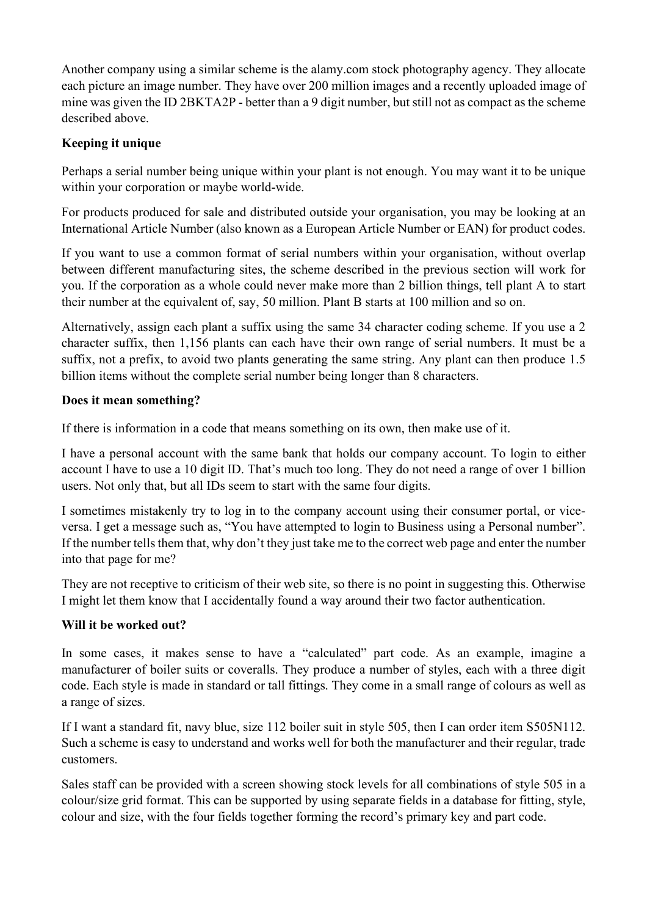Another company using a similar scheme is the alamy.com stock photography agency. They allocate each picture an image number. They have over 200 million images and a recently uploaded image of mine was given the ID 2BKTA2P - better than a 9 digit number, but still not as compact as the scheme described above.

# **Keeping it unique**

Perhaps a serial number being unique within your plant is not enough. You may want it to be unique within your corporation or maybe world-wide.

For products produced for sale and distributed outside your organisation, you may be looking at an International Article Number (also known as a European Article Number or EAN) for product codes.

If you want to use a common format of serial numbers within your organisation, without overlap between different manufacturing sites, the scheme described in the previous section will work for you. If the corporation as a whole could never make more than 2 billion things, tell plant A to start their number at the equivalent of, say, 50 million. Plant B starts at 100 million and so on.

Alternatively, assign each plant a suffix using the same 34 character coding scheme. If you use a 2 character suffix, then 1,156 plants can each have their own range of serial numbers. It must be a suffix, not a prefix, to avoid two plants generating the same string. Any plant can then produce 1.5 billion items without the complete serial number being longer than 8 characters.

# **Does it mean something?**

If there is information in a code that means something on its own, then make use of it.

I have a personal account with the same bank that holds our company account. To login to either account I have to use a 10 digit ID. That's much too long. They do not need a range of over 1 billion users. Not only that, but all IDs seem to start with the same four digits.

I sometimes mistakenly try to log in to the company account using their consumer portal, or viceversa. I get a message such as, "You have attempted to login to Business using a Personal number". If the number tells them that, why don't they just take me to the correct web page and enter the number into that page for me?

They are not receptive to criticism of their web site, so there is no point in suggesting this. Otherwise I might let them know that I accidentally found a way around their two factor authentication.

# **Will it be worked out?**

In some cases, it makes sense to have a "calculated" part code. As an example, imagine a manufacturer of boiler suits or coveralls. They produce a number of styles, each with a three digit code. Each style is made in standard or tall fittings. They come in a small range of colours as well as a range of sizes.

If I want a standard fit, navy blue, size 112 boiler suit in style 505, then I can order item S505N112. Such a scheme is easy to understand and works well for both the manufacturer and their regular, trade customers.

Sales staff can be provided with a screen showing stock levels for all combinations of style 505 in a colour/size grid format. This can be supported by using separate fields in a database for fitting, style, colour and size, with the four fields together forming the record's primary key and part code.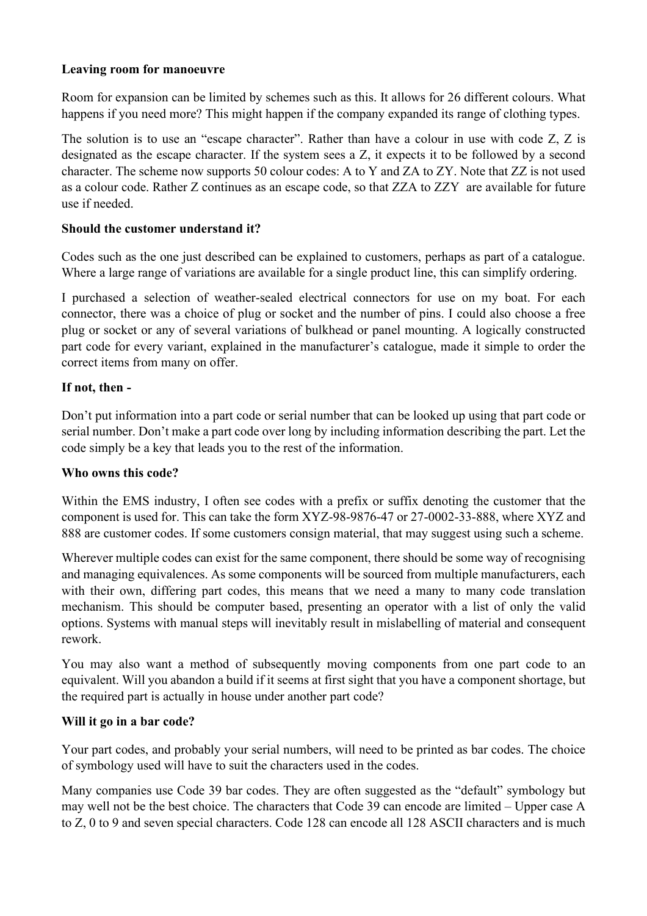#### **Leaving room for manoeuvre**

Room for expansion can be limited by schemes such as this. It allows for 26 different colours. What happens if you need more? This might happen if the company expanded its range of clothing types.

The solution is to use an "escape character". Rather than have a colour in use with code Z, Z is designated as the escape character. If the system sees a Z, it expects it to be followed by a second character. The scheme now supports 50 colour codes: A to Y and ZA to ZY. Note that ZZ is not used as a colour code. Rather Z continues as an escape code, so that ZZA to ZZY are available for future use if needed.

## **Should the customer understand it?**

Codes such as the one just described can be explained to customers, perhaps as part of a catalogue. Where a large range of variations are available for a single product line, this can simplify ordering.

I purchased a selection of weather-sealed electrical connectors for use on my boat. For each connector, there was a choice of plug or socket and the number of pins. I could also choose a free plug or socket or any of several variations of bulkhead or panel mounting. A logically constructed part code for every variant, explained in the manufacturer's catalogue, made it simple to order the correct items from many on offer.

## **If not, then -**

Don't put information into a part code or serial number that can be looked up using that part code or serial number. Don't make a part code over long by including information describing the part. Let the code simply be a key that leads you to the rest of the information.

## **Who owns this code?**

Within the EMS industry, I often see codes with a prefix or suffix denoting the customer that the component is used for. This can take the form XYZ-98-9876-47 or 27-0002-33-888, where XYZ and 888 are customer codes. If some customers consign material, that may suggest using such a scheme.

Wherever multiple codes can exist for the same component, there should be some way of recognising and managing equivalences. As some components will be sourced from multiple manufacturers, each with their own, differing part codes, this means that we need a many to many code translation mechanism. This should be computer based, presenting an operator with a list of only the valid options. Systems with manual steps will inevitably result in mislabelling of material and consequent rework.

You may also want a method of subsequently moving components from one part code to an equivalent. Will you abandon a build if it seems at first sight that you have a component shortage, but the required part is actually in house under another part code?

# **Will it go in a bar code?**

Your part codes, and probably your serial numbers, will need to be printed as bar codes. The choice of symbology used will have to suit the characters used in the codes.

Many companies use Code 39 bar codes. They are often suggested as the "default" symbology but may well not be the best choice. The characters that Code 39 can encode are limited – Upper case A to Z, 0 to 9 and seven special characters. Code 128 can encode all 128 ASCII characters and is much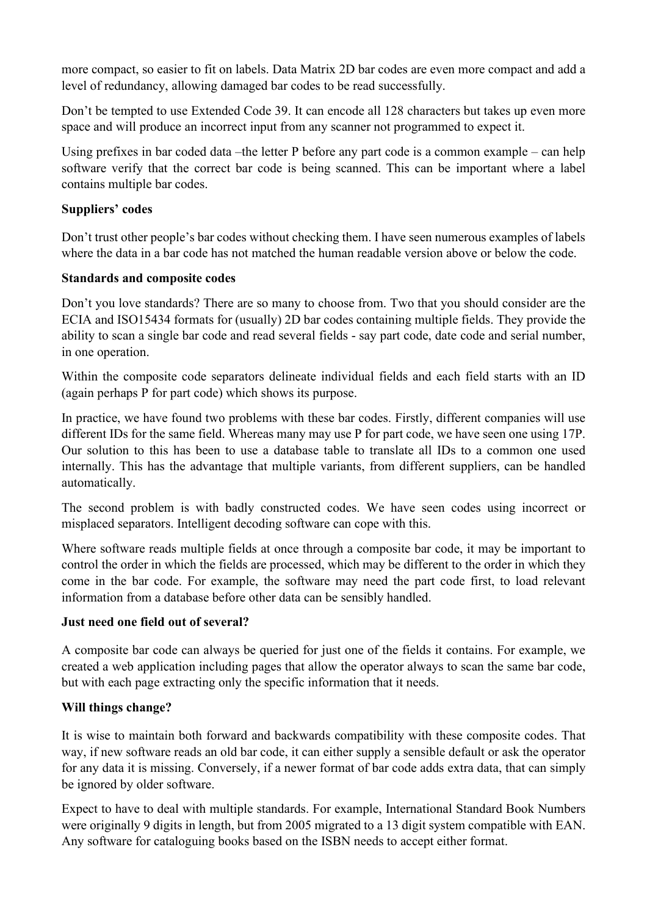more compact, so easier to fit on labels. Data Matrix 2D bar codes are even more compact and add a level of redundancy, allowing damaged bar codes to be read successfully.

Don't be tempted to use Extended Code 39. It can encode all 128 characters but takes up even more space and will produce an incorrect input from any scanner not programmed to expect it.

Using prefixes in bar coded data –the letter P before any part code is a common example – can help software verify that the correct bar code is being scanned. This can be important where a label contains multiple bar codes.

## **Suppliers' codes**

Don't trust other people's bar codes without checking them. I have seen numerous examples of labels where the data in a bar code has not matched the human readable version above or below the code.

# **Standards and composite codes**

Don't you love standards? There are so many to choose from. Two that you should consider are the ECIA and ISO15434 formats for (usually) 2D bar codes containing multiple fields. They provide the ability to scan a single bar code and read several fields - say part code, date code and serial number, in one operation.

Within the composite code separators delineate individual fields and each field starts with an ID (again perhaps P for part code) which shows its purpose.

In practice, we have found two problems with these bar codes. Firstly, different companies will use different IDs for the same field. Whereas many may use P for part code, we have seen one using 17P. Our solution to this has been to use a database table to translate all IDs to a common one used internally. This has the advantage that multiple variants, from different suppliers, can be handled automatically.

The second problem is with badly constructed codes. We have seen codes using incorrect or misplaced separators. Intelligent decoding software can cope with this.

Where software reads multiple fields at once through a composite bar code, it may be important to control the order in which the fields are processed, which may be different to the order in which they come in the bar code. For example, the software may need the part code first, to load relevant information from a database before other data can be sensibly handled.

## **Just need one field out of several?**

A composite bar code can always be queried for just one of the fields it contains. For example, we created a web application including pages that allow the operator always to scan the same bar code, but with each page extracting only the specific information that it needs.

# **Will things change?**

It is wise to maintain both forward and backwards compatibility with these composite codes. That way, if new software reads an old bar code, it can either supply a sensible default or ask the operator for any data it is missing. Conversely, if a newer format of bar code adds extra data, that can simply be ignored by older software.

Expect to have to deal with multiple standards. For example, International Standard Book Numbers were originally 9 digits in length, but from 2005 migrated to a 13 digit system compatible with EAN. Any software for cataloguing books based on the ISBN needs to accept either format.